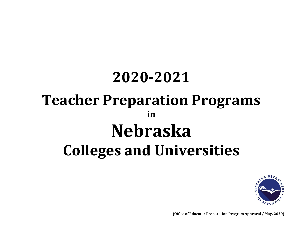# **2020-2021 Teacher Preparation Programs in Nebraska Colleges and Universities**



**(Office of Educator Preparation Program Approval / May, 2020)**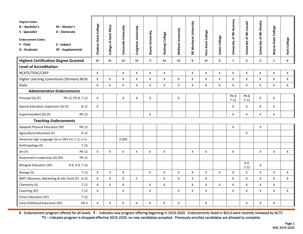| <b>Degree Codes:</b><br>$B - B$ achelor's<br>S - Specialist<br><b>Endorsement Codes:</b><br>F - Field<br>G - Graduate | M - Master's<br>D - Doctorate<br>S - Subject<br>SP - Supplemental | Chadron State College | Saint Mary<br>College of | Concordia University      | Creighton University | Doane University | Hastings College          | Midland University | NE Wesleyan University | <b>State College</b><br>eru<br>ه | Union College | University of NE-Kearney | University of NE-Lincoln | University of NE-Omaha | Wayne State College | <b>York College</b> |
|-----------------------------------------------------------------------------------------------------------------------|-------------------------------------------------------------------|-----------------------|--------------------------|---------------------------|----------------------|------------------|---------------------------|--------------------|------------------------|----------------------------------|---------------|--------------------------|--------------------------|------------------------|---------------------|---------------------|
| <b>Highest Certification Degree Granted</b>                                                                           |                                                                   | M                     | M                        | M                         | M                    | D                | M                         | M                  | B                      | M                                | B             | S                        | D                        | D.                     | S.                  | B                   |
| <b>Level of Accreditation:</b>                                                                                        |                                                                   |                       |                          |                           |                      |                  |                           |                    |                        |                                  |               |                          |                          |                        |                     |                     |
| NCATE/TEAC/CAEP                                                                                                       |                                                                   | $\mathsf{x}$          |                          | $\boldsymbol{\mathsf{X}}$ | X                    | X                | X                         |                    | X                      | X                                | X             | X                        | X                        | X                      | $\mathsf{X}$        | X                   |
| Higher Learning Commission (formerly NCA)                                                                             |                                                                   | X                     | $\mathsf{X}$             | X                         | X                    | X                | X                         | X                  | X                      | $\mathsf{X}$                     | X             | X                        | X                        | X                      | $\mathsf{X}$        | X                   |
| State                                                                                                                 |                                                                   | X                     | X                        | X                         | X                    | X                | X                         | X                  | X                      | X                                | X             | X                        | X                        | X                      | X                   | X                   |
| <b>Administrative Endorsements</b>                                                                                    |                                                                   |                       |                          |                           |                      |                  |                           |                    |                        |                                  |               |                          |                          |                        |                     |                     |
| Principal (G) (F)                                                                                                     | PK-12, PK-8, 7-12                                                 | X                     |                          | X                         | X                    | Χ                |                           | X                  |                        |                                  |               | PK-8<br>$7 - 12$         | PK-8<br>$7 - 12$         | X                      | X                   |                     |
| Special Education Supervisor (G) (F)                                                                                  | $B-12$                                                            | X                     |                          |                           |                      |                  |                           |                    |                        |                                  |               | X                        | X                        | X                      | X                   |                     |
| Superintendent (G) (F)<br><b>PK-12</b>                                                                                |                                                                   |                       |                          |                           |                      | Χ                |                           |                    |                        |                                  |               | X                        | X                        | X                      | X                   |                     |
| <b>Teaching Endorsements</b>                                                                                          |                                                                   |                       |                          |                           |                      |                  |                           |                    |                        |                                  |               |                          |                          |                        |                     |                     |
| Adapted Physical Education (SP)                                                                                       | <b>PK-12</b>                                                      |                       |                          |                           |                      |                  |                           |                    |                        |                                  |               | $\pmb{\mathsf{X}}$       |                          | $\pmb{\mathsf{X}}$     |                     |                     |
| Agricultural Education (F)                                                                                            | $6 - 12$                                                          |                       |                          |                           |                      |                  |                           |                    |                        |                                  |               |                          | X                        |                        |                     |                     |
| American Sign Language (S) or (SP) K-8, 7-12, K-12                                                                    |                                                                   |                       |                          | X(SP)                     |                      |                  |                           |                    |                        |                                  |               |                          |                          |                        |                     |                     |
| Anthropology (S)                                                                                                      | $7 - 12$                                                          |                       |                          |                           |                      |                  |                           |                    |                        |                                  |               |                          |                          |                        |                     |                     |
| Art (F)                                                                                                               | <b>PK-12</b>                                                      | X                     | X                        | X                         | $\mathsf{X}$         | X                | Χ                         |                    | X                      | X                                |               | X                        |                          | X                      | $\mathsf{X}$        | $\mathsf{X}$        |
| Assessment Leadership (G) (SP)                                                                                        | <b>PK-12</b>                                                      |                       |                          |                           |                      |                  |                           |                    |                        |                                  |               |                          |                          |                        |                     |                     |
| <b>Bilingual Education (SP)</b>                                                                                       | K-6, 4-9, 7-12                                                    |                       |                          |                           |                      |                  |                           |                    |                        |                                  |               |                          | $K-6$<br>$7-12$          | X                      |                     |                     |
| Biology (S)                                                                                                           | $7 - 12$                                                          | X                     | X                        | X                         |                      | X                | $\mathsf{X}$              | X                  | X                      | X                                | X             | X                        | X                        | X                      | X                   | X                   |
| BMIT (Business, Marketing & Info Tech) (F) 6-12                                                                       |                                                                   | X                     | X                        | X                         | X                    |                  | Χ                         | X                  | X                      | X                                |               | X                        | X                        | X                      | $\times$            | X                   |
| Chemistry (S)                                                                                                         | $7 - 12$                                                          | X                     | $\mathsf{X}$             | $\pmb{\times}$            |                      | $\mathsf{x}$     | $\boldsymbol{\mathsf{x}}$ |                    | X                      | $\mathsf{x}$                     | X             | X                        | $\mathsf{x}$             | $\mathsf{X}$           | $\mathsf{X}$        |                     |
| Coaching (SP)                                                                                                         | $7 - 12$                                                          | X                     |                          | X                         |                      | X                |                           | X                  | X                      | X                                |               | X                        | X                        | X                      | X                   | X                   |
| Driver Education (SP)                                                                                                 | $7 - 12$                                                          |                       |                          |                           |                      |                  |                           |                    |                        |                                  |               |                          |                          |                        |                     |                     |
| Early Childhood Education (SP)                                                                                        | <b>PK-3</b>                                                       | X                     | X                        | X                         | X                    | X                | X                         | X                  |                        | X                                |               |                          | $\pmb{\mathsf{X}}$       | X                      | X                   |                     |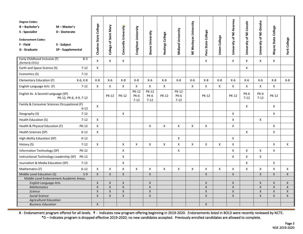| Early Childhood Inclusive (F)<br>$B-3$<br>X<br>X<br>X<br>X<br>X<br>X<br>X<br>X<br>(formerly ECEU)<br>Earth and Space Science (S)<br>$7 - 12$<br>X<br>X<br>Economics (S)<br>$7 - 12$<br>$K-8$<br>$K-8$<br>$K-8$<br>$K-8$<br>$K-6$<br>$K-6$<br>Elementary Education (F)<br>K-6, K-8<br>K-6<br>K-8<br>K-6<br>$K-8$<br>$K-6$<br>$K-8$<br>K-6<br>$K-8$<br>K-8<br>English Language Arts (F)<br>$7 - 12$<br>X<br>X<br>X<br>Χ<br>X<br>X<br>$\mathsf{x}$<br>$\mathsf{x}$<br>$\mathsf{X}$<br>X<br>X<br>X<br>X<br><b>PK-12</b><br><b>PK-12</b><br><b>PK-12</b><br>English As A Second Language (SP)<br><b>PK-6</b><br><b>PK-6</b><br><b>PK-6</b><br><b>PK-6</b><br><b>PK-12</b><br><b>PK-12</b><br><b>PK-6</b><br><b>PK-12</b><br><b>PK-12</b><br><b>PK-12</b><br><b>PK-12</b><br>$7 - 12$<br>$7 - 12$<br>PK-12, PK-6, 4-9, 7-12<br>$7 - 12$<br>$7 - 12$<br>$7 - 12$<br>Family & Consumer Sciences Occupational (F)<br>Χ<br>X<br>X<br>$6 - 12$<br>X<br>X<br>Geography (S)<br>$7 - 12$<br>X<br>$\mathsf{X}$<br>$\mathsf{X}$<br>Health Education (S)<br>$7 - 12$<br>$\boldsymbol{\mathsf{X}}$<br>$\mathsf{x}$<br>Health & Physical Education (F)<br>PK-12<br>X<br>X<br>X<br>X<br>X<br>$\mathsf{X}$<br>X<br>X<br>Health Sciences (SP)<br>$6 - 12$<br>X<br>X<br>High Ability Education (SP)<br>$\pmb{\mathsf{X}}$<br>$\mathsf X$<br>$K-12$<br>$7-12$<br>$\mathsf{x}$<br>$\mathsf{x}$<br>X<br>X<br>$\boldsymbol{\mathsf{X}}$<br>X<br>X<br>X<br>X<br>$\mathsf{X}$<br>X<br>$\mathsf{x}$<br>History (S)<br>X<br>X<br>X<br>X<br>Information Technology (SP)<br><b>PK-12</b><br>X<br>X<br>$\mathsf{X}$<br>$\mathsf{x}$<br>$\mathsf{x}$<br>$\mathsf{X}$<br>Instructional Technology Leadership (SP)<br><b>PK-12</b><br>X<br>X<br>Journalism & Media Education (SP)<br>$7 - 12$<br>X<br>$6 - 12$<br>X<br>X<br>X<br>X<br>X<br>X<br>X<br>X<br>X<br>X<br>X<br>X<br>X<br>X<br>$\mathsf{X}$<br>Mathematics (F)<br>$5-9$<br>$\mathsf X$<br>Middle Level Education (S)<br>X<br>X<br>$\mathsf{X}$<br>$\mathsf{X}$<br>$\mathsf{X}$<br>$\mathsf{X}$<br>$\mathsf{X}$<br>X<br>Middle Level Endorsement Academic Areas:<br>$\mathsf{X}$<br>$\mathsf X$<br>$\mathsf{X}$<br>$\mathsf{X}$<br>X<br>X<br>$\mathsf{X}$<br><b>English Language Arts</b><br>$\mathsf{X}$<br>$\mathsf{X}$<br>$\mathsf{x}$<br>$\mathsf{x}$<br>$\mathsf{X}$<br>$\mathsf{X}$<br>$\mathsf{X}$<br>$\mathsf X$<br>$\mathsf{X}$<br>$\mathsf{X}$<br>$\mathsf{X}$<br><b>Mathematics</b><br>$\mathsf X$<br>X<br>$\pmb{\mathsf{X}}$<br>X<br>$\mathsf{X}$<br><b>Science</b><br>X<br>X<br>X<br>X<br>$\pmb{\times}$<br>$\pmb{\times}$<br>$\pmb{\times}$<br><b>Social Science</b><br>$\mathsf{X}$<br>X<br>$\mathsf{X}$<br>$\mathsf{X}$<br>X<br>X<br><b>Agricultural Education</b> | <b>Degree Codes:</b><br>$B - B$ achelor's<br>S - Specialist<br><b>Endorsement Codes:</b><br>F - Field<br>G - Graduate | $M - Master's$<br>D - Doctorate<br>S - Subject<br>SP - Supplemental | Chadron State College     | College of Saint Mary | Concordia University | Creighton University | Doane University | Hastings College | Midland University | NE Wesleyan University | Peru State College | <b>Union College</b> | University of NE-Kearney | University of NE-Lincoln | of NE-Omaha<br>University | <b>Wayne State College</b> | <b>York College</b> |
|-------------------------------------------------------------------------------------------------------------------------------------------------------------------------------------------------------------------------------------------------------------------------------------------------------------------------------------------------------------------------------------------------------------------------------------------------------------------------------------------------------------------------------------------------------------------------------------------------------------------------------------------------------------------------------------------------------------------------------------------------------------------------------------------------------------------------------------------------------------------------------------------------------------------------------------------------------------------------------------------------------------------------------------------------------------------------------------------------------------------------------------------------------------------------------------------------------------------------------------------------------------------------------------------------------------------------------------------------------------------------------------------------------------------------------------------------------------------------------------------------------------------------------------------------------------------------------------------------------------------------------------------------------------------------------------------------------------------------------------------------------------------------------------------------------------------------------------------------------------------------------------------------------------------------------------------------------------------------------------------------------------------------------------------------------------------------------------------------------------------------------------------------------------------------------------------------------------------------------------------------------------------------------------------------------------------------------------------------------------------------------------------------------------------------------------------------------------------------------------------------------------------------------------------------------------------------------------------------------------------------------------------------------------------------------------------------------|-----------------------------------------------------------------------------------------------------------------------|---------------------------------------------------------------------|---------------------------|-----------------------|----------------------|----------------------|------------------|------------------|--------------------|------------------------|--------------------|----------------------|--------------------------|--------------------------|---------------------------|----------------------------|---------------------|
|                                                                                                                                                                                                                                                                                                                                                                                                                                                                                                                                                                                                                                                                                                                                                                                                                                                                                                                                                                                                                                                                                                                                                                                                                                                                                                                                                                                                                                                                                                                                                                                                                                                                                                                                                                                                                                                                                                                                                                                                                                                                                                                                                                                                                                                                                                                                                                                                                                                                                                                                                                                                                                                                                                       |                                                                                                                       |                                                                     |                           |                       |                      |                      |                  |                  |                    |                        |                    |                      |                          |                          |                           |                            |                     |
|                                                                                                                                                                                                                                                                                                                                                                                                                                                                                                                                                                                                                                                                                                                                                                                                                                                                                                                                                                                                                                                                                                                                                                                                                                                                                                                                                                                                                                                                                                                                                                                                                                                                                                                                                                                                                                                                                                                                                                                                                                                                                                                                                                                                                                                                                                                                                                                                                                                                                                                                                                                                                                                                                                       |                                                                                                                       |                                                                     |                           |                       |                      |                      |                  |                  |                    |                        |                    |                      |                          |                          |                           |                            |                     |
|                                                                                                                                                                                                                                                                                                                                                                                                                                                                                                                                                                                                                                                                                                                                                                                                                                                                                                                                                                                                                                                                                                                                                                                                                                                                                                                                                                                                                                                                                                                                                                                                                                                                                                                                                                                                                                                                                                                                                                                                                                                                                                                                                                                                                                                                                                                                                                                                                                                                                                                                                                                                                                                                                                       |                                                                                                                       |                                                                     |                           |                       |                      |                      |                  |                  |                    |                        |                    |                      |                          |                          |                           |                            |                     |
|                                                                                                                                                                                                                                                                                                                                                                                                                                                                                                                                                                                                                                                                                                                                                                                                                                                                                                                                                                                                                                                                                                                                                                                                                                                                                                                                                                                                                                                                                                                                                                                                                                                                                                                                                                                                                                                                                                                                                                                                                                                                                                                                                                                                                                                                                                                                                                                                                                                                                                                                                                                                                                                                                                       |                                                                                                                       |                                                                     |                           |                       |                      |                      |                  |                  |                    |                        |                    |                      |                          |                          |                           |                            |                     |
|                                                                                                                                                                                                                                                                                                                                                                                                                                                                                                                                                                                                                                                                                                                                                                                                                                                                                                                                                                                                                                                                                                                                                                                                                                                                                                                                                                                                                                                                                                                                                                                                                                                                                                                                                                                                                                                                                                                                                                                                                                                                                                                                                                                                                                                                                                                                                                                                                                                                                                                                                                                                                                                                                                       |                                                                                                                       |                                                                     |                           |                       |                      |                      |                  |                  |                    |                        |                    |                      |                          |                          |                           |                            |                     |
|                                                                                                                                                                                                                                                                                                                                                                                                                                                                                                                                                                                                                                                                                                                                                                                                                                                                                                                                                                                                                                                                                                                                                                                                                                                                                                                                                                                                                                                                                                                                                                                                                                                                                                                                                                                                                                                                                                                                                                                                                                                                                                                                                                                                                                                                                                                                                                                                                                                                                                                                                                                                                                                                                                       |                                                                                                                       |                                                                     |                           |                       |                      |                      |                  |                  |                    |                        |                    |                      |                          |                          |                           |                            |                     |
|                                                                                                                                                                                                                                                                                                                                                                                                                                                                                                                                                                                                                                                                                                                                                                                                                                                                                                                                                                                                                                                                                                                                                                                                                                                                                                                                                                                                                                                                                                                                                                                                                                                                                                                                                                                                                                                                                                                                                                                                                                                                                                                                                                                                                                                                                                                                                                                                                                                                                                                                                                                                                                                                                                       |                                                                                                                       |                                                                     |                           |                       |                      |                      |                  |                  |                    |                        |                    |                      |                          |                          |                           |                            |                     |
|                                                                                                                                                                                                                                                                                                                                                                                                                                                                                                                                                                                                                                                                                                                                                                                                                                                                                                                                                                                                                                                                                                                                                                                                                                                                                                                                                                                                                                                                                                                                                                                                                                                                                                                                                                                                                                                                                                                                                                                                                                                                                                                                                                                                                                                                                                                                                                                                                                                                                                                                                                                                                                                                                                       |                                                                                                                       |                                                                     |                           |                       |                      |                      |                  |                  |                    |                        |                    |                      |                          |                          |                           |                            |                     |
|                                                                                                                                                                                                                                                                                                                                                                                                                                                                                                                                                                                                                                                                                                                                                                                                                                                                                                                                                                                                                                                                                                                                                                                                                                                                                                                                                                                                                                                                                                                                                                                                                                                                                                                                                                                                                                                                                                                                                                                                                                                                                                                                                                                                                                                                                                                                                                                                                                                                                                                                                                                                                                                                                                       |                                                                                                                       |                                                                     |                           |                       |                      |                      |                  |                  |                    |                        |                    |                      |                          |                          |                           |                            |                     |
|                                                                                                                                                                                                                                                                                                                                                                                                                                                                                                                                                                                                                                                                                                                                                                                                                                                                                                                                                                                                                                                                                                                                                                                                                                                                                                                                                                                                                                                                                                                                                                                                                                                                                                                                                                                                                                                                                                                                                                                                                                                                                                                                                                                                                                                                                                                                                                                                                                                                                                                                                                                                                                                                                                       |                                                                                                                       |                                                                     |                           |                       |                      |                      |                  |                  |                    |                        |                    |                      |                          |                          |                           |                            |                     |
|                                                                                                                                                                                                                                                                                                                                                                                                                                                                                                                                                                                                                                                                                                                                                                                                                                                                                                                                                                                                                                                                                                                                                                                                                                                                                                                                                                                                                                                                                                                                                                                                                                                                                                                                                                                                                                                                                                                                                                                                                                                                                                                                                                                                                                                                                                                                                                                                                                                                                                                                                                                                                                                                                                       |                                                                                                                       |                                                                     |                           |                       |                      |                      |                  |                  |                    |                        |                    |                      |                          |                          |                           |                            |                     |
|                                                                                                                                                                                                                                                                                                                                                                                                                                                                                                                                                                                                                                                                                                                                                                                                                                                                                                                                                                                                                                                                                                                                                                                                                                                                                                                                                                                                                                                                                                                                                                                                                                                                                                                                                                                                                                                                                                                                                                                                                                                                                                                                                                                                                                                                                                                                                                                                                                                                                                                                                                                                                                                                                                       |                                                                                                                       |                                                                     |                           |                       |                      |                      |                  |                  |                    |                        |                    |                      |                          |                          |                           |                            |                     |
|                                                                                                                                                                                                                                                                                                                                                                                                                                                                                                                                                                                                                                                                                                                                                                                                                                                                                                                                                                                                                                                                                                                                                                                                                                                                                                                                                                                                                                                                                                                                                                                                                                                                                                                                                                                                                                                                                                                                                                                                                                                                                                                                                                                                                                                                                                                                                                                                                                                                                                                                                                                                                                                                                                       |                                                                                                                       |                                                                     |                           |                       |                      |                      |                  |                  |                    |                        |                    |                      |                          |                          |                           |                            |                     |
|                                                                                                                                                                                                                                                                                                                                                                                                                                                                                                                                                                                                                                                                                                                                                                                                                                                                                                                                                                                                                                                                                                                                                                                                                                                                                                                                                                                                                                                                                                                                                                                                                                                                                                                                                                                                                                                                                                                                                                                                                                                                                                                                                                                                                                                                                                                                                                                                                                                                                                                                                                                                                                                                                                       |                                                                                                                       |                                                                     |                           |                       |                      |                      |                  |                  |                    |                        |                    |                      |                          |                          |                           |                            |                     |
|                                                                                                                                                                                                                                                                                                                                                                                                                                                                                                                                                                                                                                                                                                                                                                                                                                                                                                                                                                                                                                                                                                                                                                                                                                                                                                                                                                                                                                                                                                                                                                                                                                                                                                                                                                                                                                                                                                                                                                                                                                                                                                                                                                                                                                                                                                                                                                                                                                                                                                                                                                                                                                                                                                       |                                                                                                                       |                                                                     |                           |                       |                      |                      |                  |                  |                    |                        |                    |                      |                          |                          |                           |                            |                     |
|                                                                                                                                                                                                                                                                                                                                                                                                                                                                                                                                                                                                                                                                                                                                                                                                                                                                                                                                                                                                                                                                                                                                                                                                                                                                                                                                                                                                                                                                                                                                                                                                                                                                                                                                                                                                                                                                                                                                                                                                                                                                                                                                                                                                                                                                                                                                                                                                                                                                                                                                                                                                                                                                                                       |                                                                                                                       |                                                                     |                           |                       |                      |                      |                  |                  |                    |                        |                    |                      |                          |                          |                           |                            |                     |
|                                                                                                                                                                                                                                                                                                                                                                                                                                                                                                                                                                                                                                                                                                                                                                                                                                                                                                                                                                                                                                                                                                                                                                                                                                                                                                                                                                                                                                                                                                                                                                                                                                                                                                                                                                                                                                                                                                                                                                                                                                                                                                                                                                                                                                                                                                                                                                                                                                                                                                                                                                                                                                                                                                       |                                                                                                                       |                                                                     |                           |                       |                      |                      |                  |                  |                    |                        |                    |                      |                          |                          |                           |                            |                     |
|                                                                                                                                                                                                                                                                                                                                                                                                                                                                                                                                                                                                                                                                                                                                                                                                                                                                                                                                                                                                                                                                                                                                                                                                                                                                                                                                                                                                                                                                                                                                                                                                                                                                                                                                                                                                                                                                                                                                                                                                                                                                                                                                                                                                                                                                                                                                                                                                                                                                                                                                                                                                                                                                                                       |                                                                                                                       |                                                                     |                           |                       |                      |                      |                  |                  |                    |                        |                    |                      |                          |                          |                           |                            |                     |
|                                                                                                                                                                                                                                                                                                                                                                                                                                                                                                                                                                                                                                                                                                                                                                                                                                                                                                                                                                                                                                                                                                                                                                                                                                                                                                                                                                                                                                                                                                                                                                                                                                                                                                                                                                                                                                                                                                                                                                                                                                                                                                                                                                                                                                                                                                                                                                                                                                                                                                                                                                                                                                                                                                       |                                                                                                                       |                                                                     |                           |                       |                      |                      |                  |                  |                    |                        |                    |                      |                          |                          |                           |                            |                     |
|                                                                                                                                                                                                                                                                                                                                                                                                                                                                                                                                                                                                                                                                                                                                                                                                                                                                                                                                                                                                                                                                                                                                                                                                                                                                                                                                                                                                                                                                                                                                                                                                                                                                                                                                                                                                                                                                                                                                                                                                                                                                                                                                                                                                                                                                                                                                                                                                                                                                                                                                                                                                                                                                                                       |                                                                                                                       |                                                                     |                           |                       |                      |                      |                  |                  |                    |                        |                    |                      |                          |                          |                           |                            |                     |
|                                                                                                                                                                                                                                                                                                                                                                                                                                                                                                                                                                                                                                                                                                                                                                                                                                                                                                                                                                                                                                                                                                                                                                                                                                                                                                                                                                                                                                                                                                                                                                                                                                                                                                                                                                                                                                                                                                                                                                                                                                                                                                                                                                                                                                                                                                                                                                                                                                                                                                                                                                                                                                                                                                       |                                                                                                                       |                                                                     |                           |                       |                      |                      |                  |                  |                    |                        |                    |                      |                          |                          |                           |                            |                     |
|                                                                                                                                                                                                                                                                                                                                                                                                                                                                                                                                                                                                                                                                                                                                                                                                                                                                                                                                                                                                                                                                                                                                                                                                                                                                                                                                                                                                                                                                                                                                                                                                                                                                                                                                                                                                                                                                                                                                                                                                                                                                                                                                                                                                                                                                                                                                                                                                                                                                                                                                                                                                                                                                                                       |                                                                                                                       |                                                                     |                           |                       |                      |                      |                  |                  |                    |                        |                    |                      |                          |                          |                           |                            |                     |
|                                                                                                                                                                                                                                                                                                                                                                                                                                                                                                                                                                                                                                                                                                                                                                                                                                                                                                                                                                                                                                                                                                                                                                                                                                                                                                                                                                                                                                                                                                                                                                                                                                                                                                                                                                                                                                                                                                                                                                                                                                                                                                                                                                                                                                                                                                                                                                                                                                                                                                                                                                                                                                                                                                       |                                                                                                                       |                                                                     |                           |                       |                      |                      |                  |                  |                    |                        |                    |                      |                          |                          |                           |                            |                     |
|                                                                                                                                                                                                                                                                                                                                                                                                                                                                                                                                                                                                                                                                                                                                                                                                                                                                                                                                                                                                                                                                                                                                                                                                                                                                                                                                                                                                                                                                                                                                                                                                                                                                                                                                                                                                                                                                                                                                                                                                                                                                                                                                                                                                                                                                                                                                                                                                                                                                                                                                                                                                                                                                                                       | <b>Business Education</b>                                                                                             |                                                                     | $\boldsymbol{\mathsf{X}}$ |                       |                      |                      |                  |                  |                    |                        | $\mathsf{X}$       |                      |                          |                          |                           |                            |                     |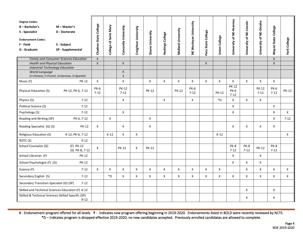| <b>Degree Codes:</b><br>$B - B$ achelor's<br>S - Specialist<br><b>Endorsement Codes:</b><br>F - Field<br>G - Graduate | $M - Master's$<br>D - Doctorate<br>S - Subject<br>SP - Supplemental | Chadron State College   | Saint Mary<br>đ<br>College | Concordia University      | Creighton University | Doane University | Hastings College | Midland University | NE Wesleyan University  | Peru State College | Union College | University of NE-Kearney         | University of NE-Lincoln | University of NE-Omaha   | Wayne State College     | <b>York College</b> |
|-----------------------------------------------------------------------------------------------------------------------|---------------------------------------------------------------------|-------------------------|----------------------------|---------------------------|----------------------|------------------|------------------|--------------------|-------------------------|--------------------|---------------|----------------------------------|--------------------------|--------------------------|-------------------------|---------------------|
|                                                                                                                       | <b>Family and Consumer Sciences Education</b>                       | $\boldsymbol{X}$        |                            |                           |                      |                  |                  |                    |                         |                    |               |                                  |                          |                          | $\mathsf{X}$            |                     |
| <b>Health and Physical Education</b><br><b>Industrial Technology Education</b>                                        |                                                                     | $\mathsf{X}$            |                            | $\mathsf X$               |                      |                  |                  |                    |                         | $\mathsf{X}$       |               |                                  |                          |                          | $\mathsf{X}$            |                     |
| World Language<br>(C=Chinese, F=French, G=German, S=Spanish)                                                          |                                                                     |                         |                            | $\pmb{\times}$<br>S       |                      |                  |                  |                    |                         |                    |               |                                  |                          |                          |                         |                     |
| Music (F)                                                                                                             | <b>PK-12</b>                                                        | Χ                       |                            | $\pmb{\times}$            |                      | X                | X                | X                  | X                       | X                  | X             | Χ                                | X                        | X                        | X                       |                     |
| Physical Education (S)                                                                                                | PK-12, PK-6, 7-12                                                   | <b>PK-6</b><br>$7 - 12$ |                            | <b>PK-12</b><br>$7-12$    |                      | <b>PK-12</b>     |                  | <b>PK-12</b>       | <b>PK-6</b><br>$7 - 12$ |                    | <b>PK-12</b>  | <b>PK-12</b><br>PK-6<br>$7 - 12$ |                          | <b>PK-12</b><br>$7 - 12$ | <b>PK-6</b><br>$7 - 12$ | <b>PK-12</b>        |
| Physics (S)                                                                                                           | $7 - 12$                                                            |                         |                            | X                         |                      |                  | X                |                    | X                       |                    | *D            | X                                | X                        | X                        |                         |                     |
| Political Science (S)                                                                                                 | $7 - 12$                                                            |                         |                            |                           |                      |                  |                  |                    |                         |                    |               | X                                |                          |                          | X                       |                     |
| Psychology (S)                                                                                                        | $7 - 12$                                                            |                         |                            | $\mathsf{X}$              |                      |                  |                  |                    |                         |                    |               | X                                |                          |                          | X                       | $\mathsf{X}$        |
| Reading and Writing (SP)                                                                                              | PK-6, 7-12                                                          |                         | X                          |                           |                      | X                |                  |                    |                         |                    |               |                                  |                          |                          | X                       | $7 - 12$            |
| Reading Specialist (G) (S)                                                                                            | <b>PK-12</b>                                                        | X                       |                            | X                         |                      | X                |                  |                    |                         |                    |               | X                                | X                        | X                        | X                       |                     |
| Religious Education (S)                                                                                               | K-12, PK-6, 7-12                                                    |                         | $K-12$                     | $\boldsymbol{\mathsf{X}}$ | X                    |                  |                  |                    |                         |                    | $K-12$        |                                  |                          |                          |                         | X                   |
| ROTC (S)                                                                                                              | $9 - 12$                                                            |                         |                            |                           |                      |                  |                  |                    |                         |                    |               |                                  |                          |                          |                         |                     |
| School Counselor (G)                                                                                                  | (F) PK-12<br>(S) PK-8, 7-12                                         | $\mathsf{X}$            |                            | <b>PK-12</b>              | X                    | <b>PK-12</b>     |                  |                    |                         |                    |               | PK-8<br>$7 - 12$                 | PK-8<br>$7 - 12$         | <b>PK-12</b>             | <b>PK-8</b><br>$7 - 12$ |                     |
| School Librarian (F)                                                                                                  | <b>PK-12</b>                                                        |                         |                            |                           |                      |                  |                  |                    |                         |                    |               | X                                |                          | X                        |                         |                     |
| School Psychologist (F) (G)                                                                                           | <b>PK-12</b>                                                        |                         |                            |                           |                      |                  |                  |                    |                         |                    |               | X                                | X                        | X                        |                         |                     |
| Science (F)                                                                                                           | $7 - 12$                                                            | X                       | X                          | $\boldsymbol{\mathsf{X}}$ | X                    | X                | X                | X                  | X                       | Χ                  | X             |                                  | X                        | X                        | X                       | X                   |
| Secondary English (S)                                                                                                 | $7 - 12$                                                            |                         | *D                         | $\pmb{\times}$            | X                    | X                | X                | X                  | X                       | X                  | X             | Χ                                | X                        | X                        | X                       | X                   |
| Secondary Transition Specialist (G) (SP)<br>$7 - 12$                                                                  |                                                                     |                         |                            |                           |                      |                  |                  |                    |                         |                    |               |                                  |                          |                          |                         |                     |
| Skilled and Technical Sciences Education (F) 6-12                                                                     |                                                                     |                         |                            |                           |                      |                  |                  |                    |                         |                    |               |                                  | X                        |                          | X                       |                     |
| Skilled & Technical Sciences-Skilled Specific (SP)                                                                    | $9 - 12$                                                            |                         |                            |                           |                      |                  |                  |                    |                         |                    |               |                                  | X                        |                          | X                       |                     |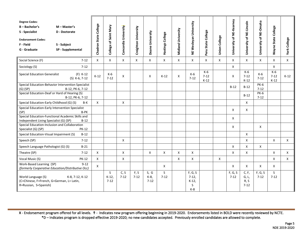| <b>Degree Codes:</b><br>$B - B$ achelor's<br>$M - Master's$<br>S - Specialist<br>D - Doctorate<br><b>Endorsement Codes:</b><br>F - Field<br>S - Subject<br>G - Graduate<br>SP - Supplemental | Chadron State College | Saint Mary<br>College of | Concordia University | Creighton University | Doane University       | Hastings College | Midland University | Wesleyan University<br>¥                   | State College<br>Peru:    | Union College | University of NE-Kearney | University of NE-Lincoln          | University of NE-Omaha  | College<br>Wayne State    | <b>York College</b> |
|----------------------------------------------------------------------------------------------------------------------------------------------------------------------------------------------|-----------------------|--------------------------|----------------------|----------------------|------------------------|------------------|--------------------|--------------------------------------------|---------------------------|---------------|--------------------------|-----------------------------------|-------------------------|---------------------------|---------------------|
| Social Science (F)<br>$7 - 12$                                                                                                                                                               | X                     | $\mathsf{X}$             | $\mathsf{X}$         | X                    | $\mathsf{x}$           | X                | X                  | X                                          | X                         | $\mathsf{x}$  | $\mathsf{X}$             | $\mathsf{x}$                      | X                       | X                         | $\mathsf{X}$        |
| $7 - 12$<br>Sociology (S)                                                                                                                                                                    |                       |                          |                      |                      |                        |                  |                    |                                            |                           |               | X                        |                                   |                         | X                         |                     |
| <b>Special Education Generalist</b><br>$(F)$ K-12<br>(S) K-6, 7-12                                                                                                                           | $K-12$                | $K-6$<br>$7 - 12$        | X                    |                      | X                      | $K-12$           | X                  | $K-6$<br>$7 - 12$                          | K-6<br>$7 - 12$<br>$K-12$ |               | X                        | K-6<br>$7 - 12$<br>$K-12$         | $K-6$<br>$7 - 12$       | K-6<br>$7 - 12$<br>$K-12$ | $K-12$              |
| Special Education-Behavior Intervention Specialist<br>$(G)$ (SP)<br>B-12, PK-6, 7-12                                                                                                         |                       |                          |                      |                      |                        |                  |                    |                                            |                           |               | $B-12$                   | $B-12$                            | <b>PK-6</b><br>$7 - 12$ |                           |                     |
| Special Education-Deaf or Hard of Hearing (S)<br>B-12, PK-6, 7-12                                                                                                                            |                       |                          |                      |                      |                        |                  |                    |                                            |                           |               |                          | $B-12$                            | <b>PK-6</b><br>$7 - 12$ |                           |                     |
| Special Education-Early Childhood (G) (S)<br>B-K                                                                                                                                             | X                     |                          | X                    |                      |                        |                  |                    |                                            |                           |               |                          | X                                 |                         |                           |                     |
| Special Education-Early Intervention Specialist<br>(SP)<br>B-PK                                                                                                                              |                       |                          |                      |                      |                        |                  |                    |                                            |                           |               | X                        | X                                 |                         |                           |                     |
| Special Education-Functional Academic Skills and<br>Independent Living Specialist (G) (SP)<br>$B-12$                                                                                         |                       |                          |                      |                      |                        |                  |                    |                                            |                           |               | X                        |                                   |                         |                           |                     |
| Special Education-Inclusion and Collaboration<br>Specialist (G) (SP)<br><b>PK-12</b>                                                                                                         |                       |                          |                      |                      |                        |                  |                    |                                            |                           |               | X                        |                                   | X                       |                           |                     |
| Special Education-Visual Impairment (S)<br>$B-12$                                                                                                                                            |                       |                          |                      |                      |                        |                  |                    |                                            |                           |               |                          | X                                 |                         |                           |                     |
| $7 - 12$<br>Speech (SP)                                                                                                                                                                      |                       |                          | X                    |                      |                        |                  |                    |                                            |                           |               |                          | X                                 |                         | X                         | X                   |
| Speech Language Pathologist (G) (S)<br>$B-21$                                                                                                                                                |                       |                          |                      |                      |                        |                  |                    |                                            |                           |               | X                        | X                                 | X                       |                           |                     |
| Theatre (SP)<br>$7 - 12$                                                                                                                                                                     | X                     |                          | X                    |                      | X                      | $\mathsf{x}$     | X                  | X                                          |                           |               | X                        | X                                 |                         | X                         | X                   |
| Vocal Music (S)<br><b>PK-12</b>                                                                                                                                                              | X                     |                          | X                    |                      |                        |                  | X                  | X                                          |                           | X             |                          |                                   |                         | X                         | X                   |
| Work-Based Learning (SP)<br>$9 - 12$<br>(formerly Cooperative Education/Distributive Occ)                                                                                                    | X                     |                          |                      |                      |                        | $\mathsf{x}$     |                    |                                            |                           |               | X                        | $\mathsf{x}$                      | X                       | X                         |                     |
| K-8. 7-12. K-12<br>World Language (S)<br>(C=Chinese, F=French, G=German, L= Latin,<br>R=Russian, S=Spanish)                                                                                  |                       | S.<br>$K-12$<br>$7 - 12$ | C, S<br>$7 - 12$     | F, S<br>$7 - 12$     | S, G<br>K-8,<br>$7-12$ | S<br>$7 - 12$    |                    | F, G, S<br>$7-12,$<br>$K-12$<br>S<br>$K-8$ |                           |               | F, G, S<br>$7 - 12$      | C, F,<br>G, L<br>R, S<br>$7 - 12$ | F, G, S<br>$7 - 12$     | S.<br>$7 - 12$            |                     |